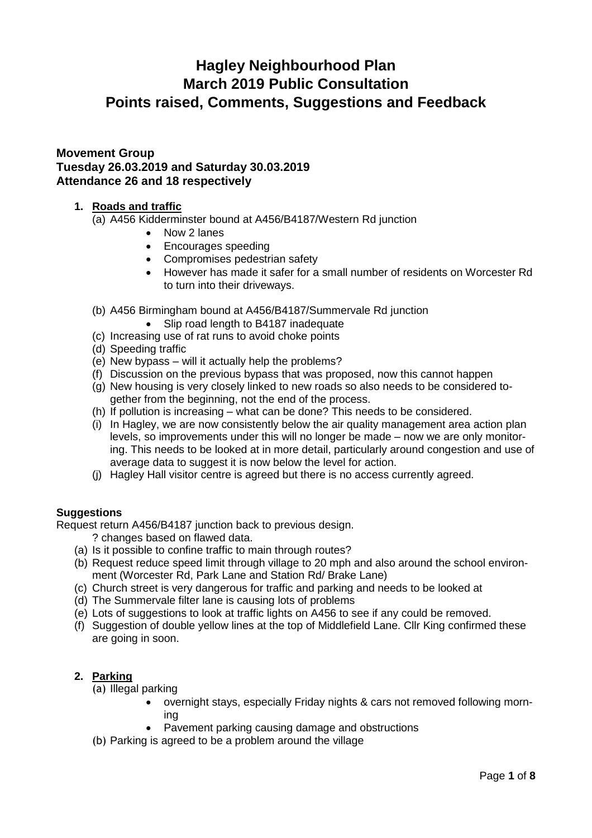# **Hagley Neighbourhood Plan March 2019 Public Consultation Points raised, Comments, Suggestions and Feedback**

## **Movement Group Tuesday 26.03.2019 and Saturday 30.03.2019 Attendance 26 and 18 respectively**

### **1. Roads and traffic**

(a) A456 Kidderminster bound at A456/B4187/Western Rd junction

- Now 2 lanes
- Encourages speeding
- Compromises pedestrian safety
- However has made it safer for a small number of residents on Worcester Rd to turn into their driveways.
- (b) A456 Birmingham bound at A456/B4187/Summervale Rd junction
	- Slip road length to B4187 inadequate
- (c) Increasing use of rat runs to avoid choke points
- (d) Speeding traffic
- (e) New bypass will it actually help the problems?
- (f) Discussion on the previous bypass that was proposed, now this cannot happen
- (g) New housing is very closely linked to new roads so also needs to be considered together from the beginning, not the end of the process.
- (h) If pollution is increasing what can be done? This needs to be considered.
- (i) In Hagley, we are now consistently below the air quality management area action plan levels, so improvements under this will no longer be made – now we are only monitoring. This needs to be looked at in more detail, particularly around congestion and use of average data to suggest it is now below the level for action.
- (j) Hagley Hall visitor centre is agreed but there is no access currently agreed.

#### **Suggestions**

Request return A456/B4187 junction back to previous design.

- ? changes based on flawed data.
- (a) Is it possible to confine traffic to main through routes?
- (b) Request reduce speed limit through village to 20 mph and also around the school environment (Worcester Rd, Park Lane and Station Rd/ Brake Lane)
- (c) Church street is very dangerous for traffic and parking and needs to be looked at
- (d) The Summervale filter lane is causing lots of problems
- (e) Lots of suggestions to look at traffic lights on A456 to see if any could be removed.
- (f) Suggestion of double yellow lines at the top of Middlefield Lane. Cllr King confirmed these are going in soon.

## **2. Parking**

(a) Illegal parking

- overnight stays, especially Friday nights & cars not removed following morning
- Pavement parking causing damage and obstructions
- (b) Parking is agreed to be a problem around the village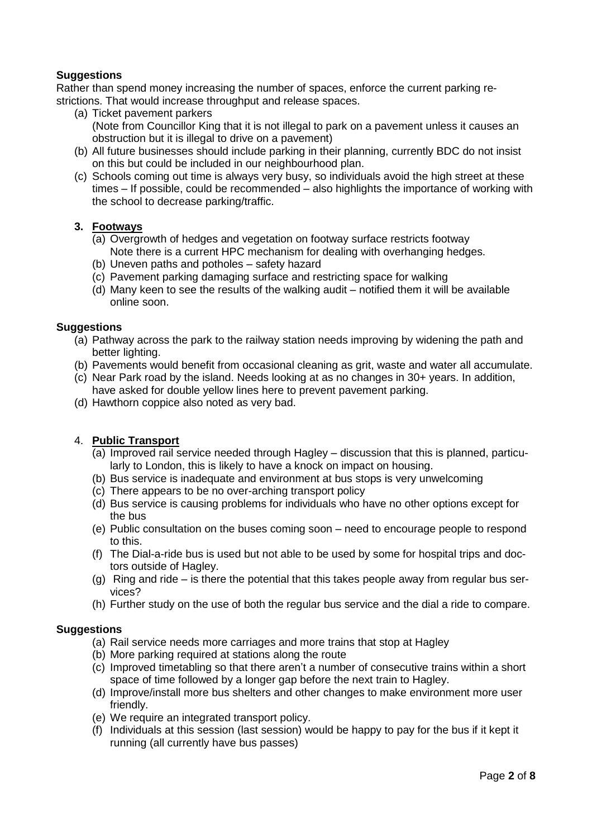### **Suggestions**

Rather than spend money increasing the number of spaces, enforce the current parking restrictions. That would increase throughput and release spaces.

- (a) Ticket pavement parkers (Note from Councillor King that it is not illegal to park on a pavement unless it causes an obstruction but it is illegal to drive on a pavement)
- (b) All future businesses should include parking in their planning, currently BDC do not insist on this but could be included in our neighbourhood plan.
- (c) Schools coming out time is always very busy, so individuals avoid the high street at these times – If possible, could be recommended – also highlights the importance of working with the school to decrease parking/traffic.

#### **3. Footways**

- (a) Overgrowth of hedges and vegetation on footway surface restricts footway Note there is a current HPC mechanism for dealing with overhanging hedges.
- (b) Uneven paths and potholes safety hazard
- (c) Pavement parking damaging surface and restricting space for walking
- (d) Many keen to see the results of the walking audit notified them it will be available online soon.

#### **Suggestions**

- (a) Pathway across the park to the railway station needs improving by widening the path and better lighting.
- (b) Pavements would benefit from occasional cleaning as grit, waste and water all accumulate.
- (c) Near Park road by the island. Needs looking at as no changes in 30+ years. In addition, have asked for double yellow lines here to prevent pavement parking.
- (d) Hawthorn coppice also noted as very bad.

#### 4. **Public Transport**

- (a) Improved rail service needed through Hagley discussion that this is planned, particularly to London, this is likely to have a knock on impact on housing.
- (b) Bus service is inadequate and environment at bus stops is very unwelcoming
- (c) There appears to be no over-arching transport policy
- (d) Bus service is causing problems for individuals who have no other options except for the bus
- (e) Public consultation on the buses coming soon need to encourage people to respond to this.
- (f) The Dial-a-ride bus is used but not able to be used by some for hospital trips and doctors outside of Hagley.
- (g) Ring and ride is there the potential that this takes people away from regular bus services?
- (h) Further study on the use of both the regular bus service and the dial a ride to compare.

#### **Suggestions**

- (a) Rail service needs more carriages and more trains that stop at Hagley
- (b) More parking required at stations along the route
- (c) Improved timetabling so that there aren't a number of consecutive trains within a short space of time followed by a longer gap before the next train to Hagley.
- (d) Improve/install more bus shelters and other changes to make environment more user friendly.
- (e) We require an integrated transport policy.
- (f) Individuals at this session (last session) would be happy to pay for the bus if it kept it running (all currently have bus passes)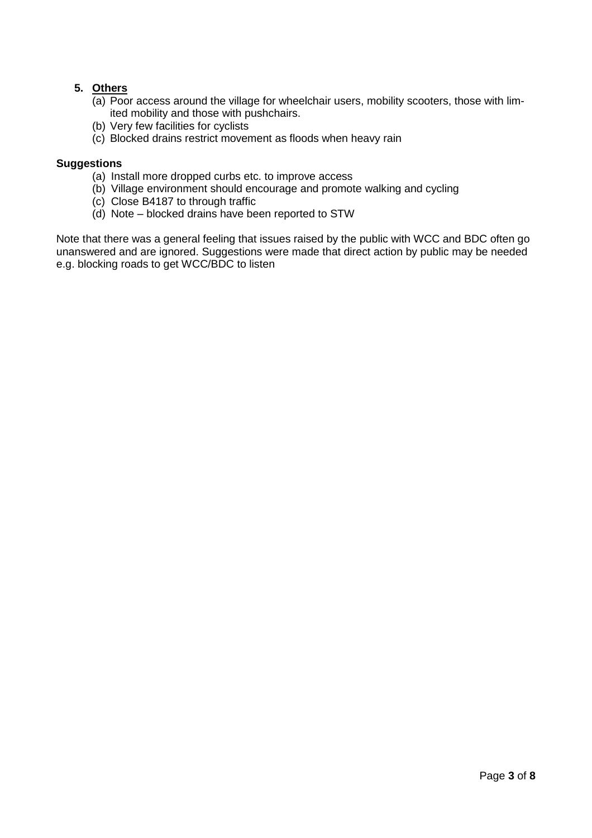## **5. Others**

- (a) Poor access around the village for wheelchair users, mobility scooters, those with limited mobility and those with pushchairs.
- (b) Very few facilities for cyclists
- (c) Blocked drains restrict movement as floods when heavy rain

#### **Suggestions**

- (a) Install more dropped curbs etc. to improve access
- (b) Village environment should encourage and promote walking and cycling
- (c) Close B4187 to through traffic
- (d) Note blocked drains have been reported to STW

Note that there was a general feeling that issues raised by the public with WCC and BDC often go unanswered and are ignored. Suggestions were made that direct action by public may be needed e.g. blocking roads to get WCC/BDC to listen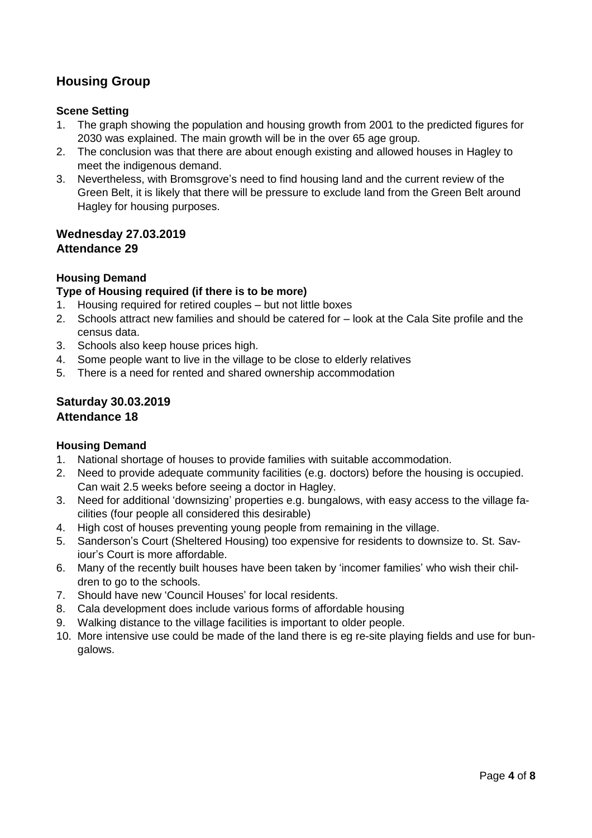## **Housing Group**

#### **Scene Setting**

- 1. The graph showing the population and housing growth from 2001 to the predicted figures for 2030 was explained. The main growth will be in the over 65 age group.
- 2. The conclusion was that there are about enough existing and allowed houses in Hagley to meet the indigenous demand.
- 3. Nevertheless, with Bromsgrove's need to find housing land and the current review of the Green Belt, it is likely that there will be pressure to exclude land from the Green Belt around Hagley for housing purposes.

### **Wednesday 27.03.2019 Attendance 29**

## **Housing Demand**

### **Type of Housing required (if there is to be more)**

- 1. Housing required for retired couples but not little boxes
- 2. Schools attract new families and should be catered for look at the Cala Site profile and the census data.
- 3. Schools also keep house prices high.
- 4. Some people want to live in the village to be close to elderly relatives
- 5. There is a need for rented and shared ownership accommodation

#### **Saturday 30.03.2019 Attendance 18**

#### **Housing Demand**

- 1. National shortage of houses to provide families with suitable accommodation.
- 2. Need to provide adequate community facilities (e.g. doctors) before the housing is occupied. Can wait 2.5 weeks before seeing a doctor in Hagley.
- 3. Need for additional 'downsizing' properties e.g. bungalows, with easy access to the village facilities (four people all considered this desirable)
- 4. High cost of houses preventing young people from remaining in the village.
- 5. Sanderson's Court (Sheltered Housing) too expensive for residents to downsize to. St. Saviour's Court is more affordable.
- 6. Many of the recently built houses have been taken by 'incomer families' who wish their children to go to the schools.
- 7. Should have new 'Council Houses' for local residents.
- 8. Cala development does include various forms of affordable housing
- 9. Walking distance to the village facilities is important to older people.
- 10. More intensive use could be made of the land there is eg re-site playing fields and use for bungalows.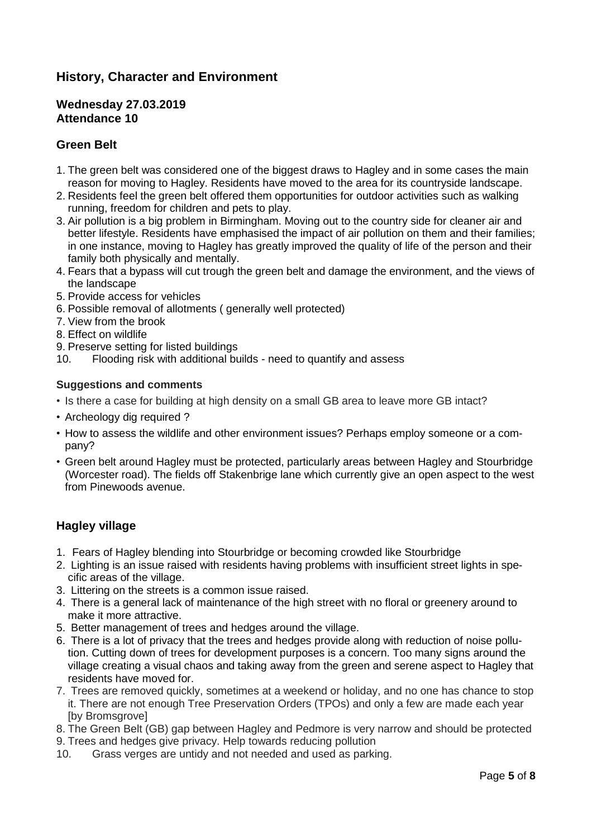## **History, Character and Environment**

#### **Wednesday 27.03.2019 Attendance 10**

## **Green Belt**

- 1. The green belt was considered one of the biggest draws to Hagley and in some cases the main reason for moving to Hagley. Residents have moved to the area for its countryside landscape.
- 2. Residents feel the green belt offered them opportunities for outdoor activities such as walking running, freedom for children and pets to play.
- 3. Air pollution is a big problem in Birmingham. Moving out to the country side for cleaner air and better lifestyle. Residents have emphasised the impact of air pollution on them and their families; in one instance, moving to Hagley has greatly improved the quality of life of the person and their family both physically and mentally.
- 4. Fears that a bypass will cut trough the green belt and damage the environment, and the views of the landscape
- 5. Provide access for vehicles
- 6. Possible removal of allotments ( generally well protected)
- 7. View from the brook
- 8. Effect on wildlife
- 9. Preserve setting for listed buildings
- 10. Flooding risk with additional builds need to quantify and assess

#### **Suggestions and comments**

- Is there a case for building at high density on a small GB area to leave more GB intact?
- Archeology dig required ?
- How to assess the wildlife and other environment issues? Perhaps employ someone or a company?
- Green belt around Hagley must be protected, particularly areas between Hagley and Stourbridge (Worcester road). The fields off Stakenbrige lane which currently give an open aspect to the west from Pinewoods avenue.

## **Hagley village**

- 1. Fears of Hagley blending into Stourbridge or becoming crowded like Stourbridge
- 2. Lighting is an issue raised with residents having problems with insufficient street lights in specific areas of the village.
- 3. Littering on the streets is a common issue raised.
- 4. There is a general lack of maintenance of the high street with no floral or greenery around to make it more attractive.
- 5. Better management of trees and hedges around the village.
- 6. There is a lot of privacy that the trees and hedges provide along with reduction of noise pollution. Cutting down of trees for development purposes is a concern. Too many signs around the village creating a visual chaos and taking away from the green and serene aspect to Hagley that residents have moved for.
- 7. Trees are removed quickly, sometimes at a weekend or holiday, and no one has chance to stop it. There are not enough Tree Preservation Orders (TPOs) and only a few are made each year [by Bromsgrove]
- 8. The Green Belt (GB) gap between Hagley and Pedmore is very narrow and should be protected
- 9. Trees and hedges give privacy. Help towards reducing pollution
- 10. Grass verges are untidy and not needed and used as parking.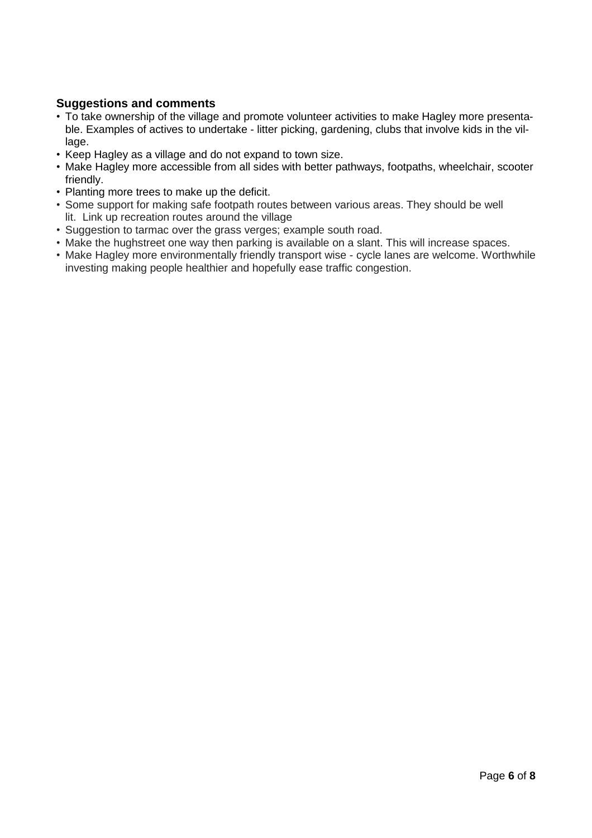## **Suggestions and comments**

- To take ownership of the village and promote volunteer activities to make Hagley more presentable. Examples of actives to undertake - litter picking, gardening, clubs that involve kids in the village.
- Keep Hagley as a village and do not expand to town size.
- Make Hagley more accessible from all sides with better pathways, footpaths, wheelchair, scooter friendly.
- Planting more trees to make up the deficit.
- Some support for making safe footpath routes between various areas. They should be well lit. Link up recreation routes around the village
- Suggestion to tarmac over the grass verges; example south road.
- Make the hughstreet one way then parking is available on a slant. This will increase spaces.
- Make Hagley more environmentally friendly transport wise cycle lanes are welcome. Worthwhile investing making people healthier and hopefully ease traffic congestion.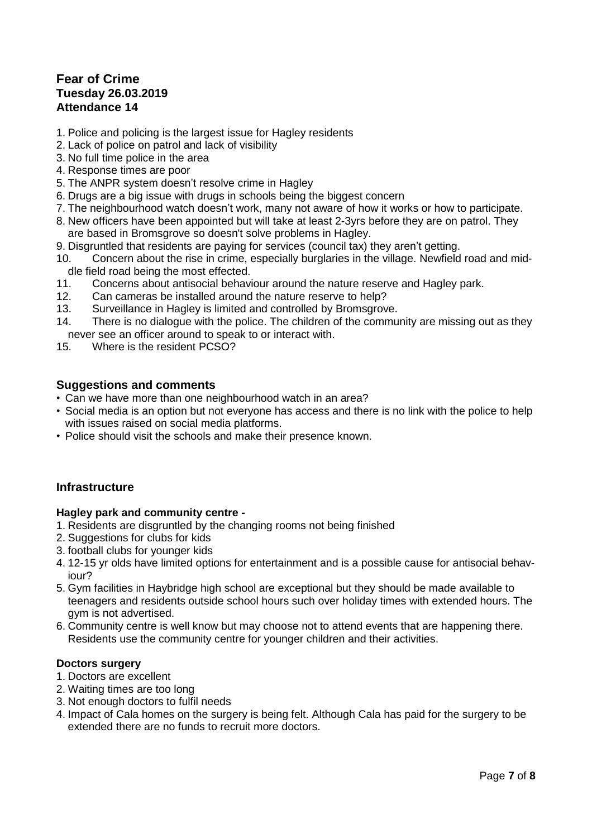## **Fear of Crime Tuesday 26.03.2019 Attendance 14**

- 1. Police and policing is the largest issue for Hagley residents
- 2. Lack of police on patrol and lack of visibility
- 3. No full time police in the area
- 4. Response times are poor
- 5. The ANPR system doesn't resolve crime in Hagley
- 6. Drugs are a big issue with drugs in schools being the biggest concern
- 7. The neighbourhood watch doesn't work, many not aware of how it works or how to participate.
- 8. New officers have been appointed but will take at least 2-3yrs before they are on patrol. They are based in Bromsgrove so doesn't solve problems in Hagley.
- 9. Disgruntled that residents are paying for services (council tax) they aren't getting.
- 10. Concern about the rise in crime, especially burglaries in the village. Newfield road and middle field road being the most effected.<br>11. Concerns about antisocial behavi
- Concerns about antisocial behaviour around the nature reserve and Hagley park.
- 12. Can cameras be installed around the nature reserve to help?
- 13. Surveillance in Hagley is limited and controlled by Bromsgrove.
- 14. There is no dialogue with the police. The children of the community are missing out as they never see an officer around to speak to or interact with.
- 15. Where is the resident PCSO?

#### **Suggestions and comments**

- Can we have more than one neighbourhood watch in an area?
- Social media is an option but not everyone has access and there is no link with the police to help with issues raised on social media platforms.
- Police should visit the schools and make their presence known.

#### **Infrastructure**

#### **Hagley park and community centre -**

- 1. Residents are disgruntled by the changing rooms not being finished
- 2. Suggestions for clubs for kids
- 3. football clubs for younger kids
- 4. 12-15 yr olds have limited options for entertainment and is a possible cause for antisocial behaviour?
- 5. Gym facilities in Haybridge high school are exceptional but they should be made available to teenagers and residents outside school hours such over holiday times with extended hours. The gym is not advertised.
- 6. Community centre is well know but may choose not to attend events that are happening there. Residents use the community centre for younger children and their activities.

#### **Doctors surgery**

- 1. Doctors are excellent
- 2. Waiting times are too long
- 3. Not enough doctors to fulfil needs
- 4. Impact of Cala homes on the surgery is being felt. Although Cala has paid for the surgery to be extended there are no funds to recruit more doctors.